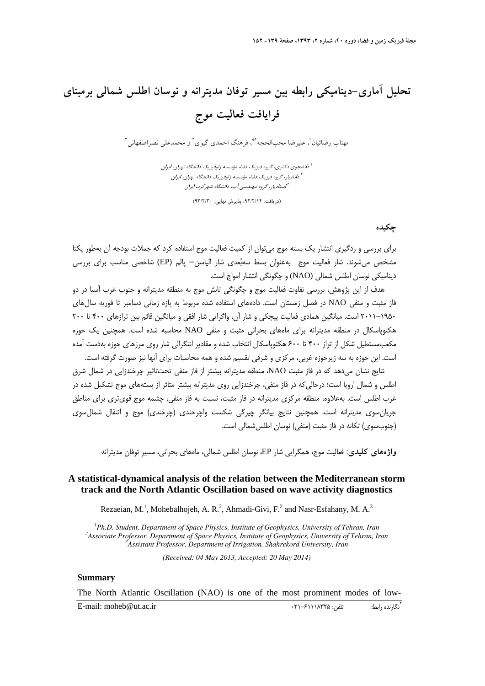# **تحليل آماري-ديناميكي رابطه بين مسير توفان مديترانه و نوسان اطلس شمالي برمبناي فرايافت فعاليت موج**

مهتاب رضائيان'، عليرضا محبالحجه <sup>٢</sup>"، فرهنگ احمدي گيوي<sup>٢</sup> و محمدعلي نصراصفهاني<sup>۳</sup>

دانشجوي دكتري، گروه فيزيك فضا، مؤسسه ژئوفيزيك دانشگاه تهران، ايران <sup>1</sup> دانشيار، گروه فيزيك فضا، مؤسسه ژئوفيزيك دانشگاه تهران، ايران <sup>2</sup> استاديار، گروه مهندسي آب، دانشگاه شهركرد، ايران <sup>3</sup>

(دريافت: ٩٢/٢/١۴، پذيرش نهايي: ٩٣/٢/٣٠)

### **چكيده**

براي بررسي و ردگيري انتشار يك بسته موج ميتوان از كميت فعاليت موج استفاده كرد كه جملات بودجه آن بهطور يكتا مشخص مي شوند. شار فعاليت موج بهعنوان بسط سهبُعدي شار الياسن– پالم (EP) شاخصي مناسب براي بررسي ديناميكي نوسان اطلس شمالي (NAO (و چگونگي انتشار امواج است.

هدف از اين پژوهش، بررسي تفاوت فعاليت موج و چگونگي تابش موج به منطقه مديترانه و جنوب غرب آسيا در دو فاز مثبت و منفي NAO در فصل زمستان است. دادههاي استفاده شده مربوط به بازه زماني دسامبر تا فوريه سالهاي 2011-1950 است. ميانگين همادي فعاليت پيچكي و شار آن، واگرايي شار افقي و ميانگين قائم بين ترازهاي 400 تا 200 هكتوپاسكال در منطقه مديترانه براي ماههاي بحراني مثبت و منفي NAO محاسبه شده است. همچنين يك حوزه مكعبمستطيل شكل از تراز 400 تا 600 هكتوپاسكال انتخاب شده و مقادير انتگرالي شار روي مرزهاي حوزه بهدست آمده است. اين حوزه به سه زيرحوزه غربي، مركزي و شرقي تقسيم شده و همه محاسبات براي آنها نيز صورت گرفته است.

نتايج نشان ميدهد كه در فاز مثبت NAO، منطقه مديترانه بيشتر از فاز منفي تحتتاثير چرخندزايي در شمال شرق اطلس و شمال اروپا است؛ درحاليكه در فاز منفي، چرخندزايي روي مديترانه بيشتر متاثر از بستههاي موج تشكيل شده در غرب اطلس است. بهعلاوه، منطقه مركزي مديترانه در فاز مثبت، نسبت به فاز منفي، چشمه موج قويتري براي مناطق جريانسوي مديترانه است. همچنين نتايج بيانگر چيرگي شكست واچرخندي (چرخندي) موج و انتقال شمالسوي (جنوبسوي) تكانه در فاز مثبت (منفي) نوسان اطلسشمالي است.

**واژههاي كليدي:** فعاليت موج، همگرايي شار EP، نوسان اطلس شمالي، ماههاي بحراني، مسير توفان مديترانه

# **A statistical-dynamical analysis of the relation between the Mediterranean storm track and the North Atlantic Oscillation based on wave activity diagnostics**

Rezaeian, M.<sup>1</sup>, Mohebalhojeh, A. R.<sup>2</sup>, Ahmadi-Givi, F.<sup>2</sup> and Nasr-Esfahany, M. A.<sup>3</sup>

<sup>1</sup> *D<sub>k</sub>* D<sub>s</sub> C<sub>tud</sub> ant Department of Space *Dhysics I Ph.D. Student, Department of Space Physics, Institute of Geophysics, University of Tehran, Iran <sup>2</sup>* <sup>2</sup> Associate Professor, Department of Space Physics, Institute of Geophysics, University of Tehran, Iran *Assistant Professor, Department of Irrigation, Shahrekord University, Iran*

*(Received: 04 May 2013, Accepted: 20 May 2014)*

#### **Summary**

The North Atlantic Oscillation (NAO) is one of the most prominent modes of low-

\* E-mail: moheb@ut.ac.ir 021 -61118325 :تلفن :رابط نگارنده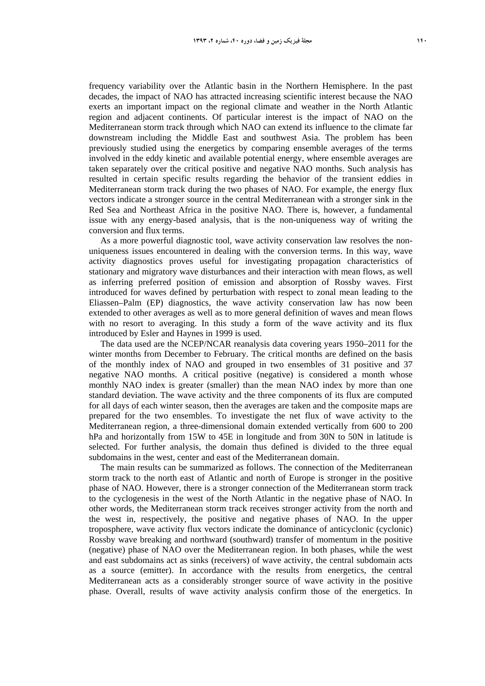frequency variability over the Atlantic basin in the Northern Hemisphere. In the past decades, the impact of NAO has attracted increasing scientific interest because the NAO exerts an important impact on the regional climate and weather in the North Atlantic region and adjacent continents. Of particular interest is the impact of NAO on the Mediterranean storm track through which NAO can extend its influence to the climate far downstream including the Middle East and southwest Asia. The problem has been previously studied using the energetics by comparing ensemble averages of the terms involved in the eddy kinetic and available potential energy, where ensemble averages are taken separately over the critical positive and negative NAO months. Such analysis has resulted in certain specific results regarding the behavior of the transient eddies in Mediterranean storm track during the two phases of NAO. For example, the energy flux vectors indicate a stronger source in the central Mediterranean with a stronger sink in the Red Sea and Northeast Africa in the positive NAO. There is, however, a fundamental issue with any energy-based analysis, that is the non-uniqueness way of writing the conversion and flux terms.

As a more powerful diagnostic tool, wave activity conservation law resolves the nonuniqueness issues encountered in dealing with the conversion terms. In this way, wave activity diagnostics proves useful for investigating propagation characteristics of stationary and migratory wave disturbances and their interaction with mean flows, as well as inferring preferred position of emission and absorption of Rossby waves. First introduced for waves defined by perturbation with respect to zonal mean leading to the Eliassen–Palm (EP) diagnostics, the wave activity conservation law has now been extended to other averages as well as to more general definition of waves and mean flows with no resort to averaging. In this study a form of the wave activity and its flux introduced by Esler and Haynes in 1999 is used.

The data used are the NCEP/NCAR reanalysis data covering years 1950–2011 for the winter months from December to February. The critical months are defined on the basis of the monthly index of NAO and grouped in two ensembles of 31 positive and 37 negative NAO months. A critical positive (negative) is considered a month whose monthly NAO index is greater (smaller) than the mean NAO index by more than one standard deviation. The wave activity and the three components of its flux are computed for all days of each winter season, then the averages are taken and the composite maps are prepared for the two ensembles. To investigate the net flux of wave activity to the Mediterranean region, a three-dimensional domain extended vertically from 600 to 200 hPa and horizontally from 15W to 45E in longitude and from 30N to 50N in latitude is selected. For further analysis, the domain thus defined is divided to the three equal subdomains in the west, center and east of the Mediterranean domain.

The main results can be summarized as follows. The connection of the Mediterranean storm track to the north east of Atlantic and north of Europe is stronger in the positive phase of NAO. However, there is a stronger connection of the Mediterranean storm track to the cyclogenesis in the west of the North Atlantic in the negative phase of NAO. In other words, the Mediterranean storm track receives stronger activity from the north and the west in, respectively, the positive and negative phases of NAO. In the upper troposphere, wave activity flux vectors indicate the dominance of anticyclonic (cyclonic) Rossby wave breaking and northward (southward) transfer of momentum in the positive (negative) phase of NAO over the Mediterranean region. In both phases, while the west and east subdomains act as sinks (receivers) of wave activity, the central subdomain acts as a source (emitter). In accordance with the results from energetics, the central Mediterranean acts as a considerably stronger source of wave activity in the positive phase. Overall, results of wave activity analysis confirm those of the energetics. In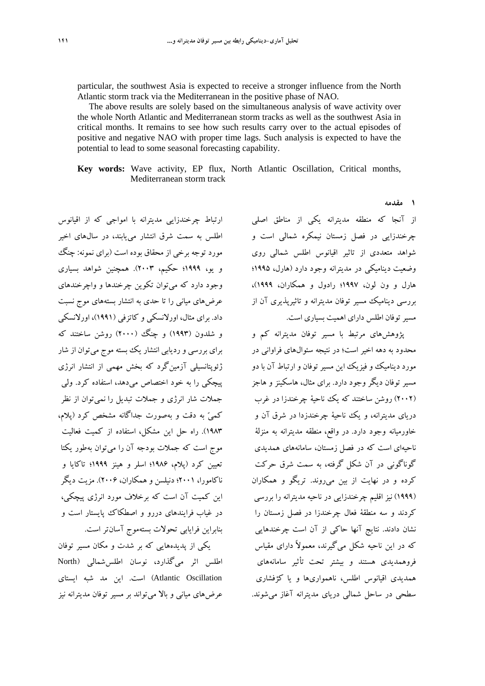particular, the southwest Asia is expected to receive a stronger influence from the North Atlantic storm track via the Mediterranean in the positive phase of NAO.

The above results are solely based on the simultaneous analysis of wave activity over the whole North Atlantic and Mediterranean storm tracks as well as the southwest Asia in critical months. It remains to see how such results carry over to the actual episodes of positive and negative NAO with proper time lags. Such analysis is expected to have the potential to lead to some seasonal forecasting capability.

**Key words:** Wave activity, EP flux, North Atlantic Oscillation, Critical months, Mediterranean storm track

ارتباط چرخندزايي مديترانه با امواجي كه از اقيانوس اطلس به سمت شرق انتشار مييابند، در سالهاي اخير مورد توجه برخي از محقاق بوده است (براي نمونه: چنگ و يو، 1999؛ حكيم، 2003). همچنين شواهد بسياري وجود دارد كه ميتوان تكوين چرخندها و واچرخندهاي عرضهاي مياني را تا حدي به انتشار بستههاي موج نسبت داد. براي مثال، اورلانسكي و كاتزفي (1991)، اورلانسكي و شلدون (۱۹۹۳) و چنگ (۲۰۰۰) روشن ساختند كه براي بررسي و رديابي انتشار يك بسته موج ميتوان از شار ژئوپتانسيلي آزمينگرد كه بخش مهمي از انتشار انرژي پيچكي را به خود اختصاص ميدهد، استفاده كرد. ولي جملات شار انرژي و جملات تبديل را نميتوان از نظر كمي به دقت و بهصورت جداگانه مشخص كرد (پلام، 1983). راه حل اين مشكل، استفاده از كميت فعاليت موج است كه جملات بودجه آن را ميتوان بهطور يكتا تعيين كرد (پلام، 1986؛ اسلر و هينز 1999؛ تاكايا و ناكامورا، 2001؛ دنيلسن و همكاران، 2006). مزيت ديگر اين كميت آن است كه برخلاف مورد انرژي پيچكي، در غياب فرايندهاي دررو و اصطكاك پايستار است و بنابراين فرايابي تحولات بستهموج آسانتر است.

يكي از پديدههايي كه بر شدت و مكان مسير توفان اطلس اثر ميگذارد، نوسان اطلسشمالي (North Oscillation Atlantic (است. اين مد شبه ايستاي عرضهاي مياني و بالا ميتواند بر مسير توفان مديترانه نيز

از آنجا كه منطقه مديترانه يكي از مناطق اصلي چرخندزايي در فصل زمستان نيمكره شمالي است و شواهد متعددي از تاثير اقيانوس اطلس شمالي روي وضعيت ديناميكي در مديترانه وجود دارد (هارل، 1995؛ هارل و ون لون، 1997؛ رادول و همكاران، 1999)، بررسي ديناميك مسير توفان مديترانه و تاثيرپذيري آن از مسيرتوفان اطلس داراي اهميت بسياري است.

**1 مقدمه**

پژوهشهاي مرتبط با مسير توفان مديترانه كم و محدود به دهه اخير است؛ در نتيجه سئوالهاي فراواني در مورد ديناميك و فيزيك اين مسيرتوفان و ارتباط آن با دو مسير توفان ديگر وجود دارد. براي مثال، هاسكينز و هاجز (2002) روشن ساختند كه يك ناحية چرخندزا در غرب درياي مديترانه، و يك ناحية چرخندزدا در شرق آن و خاورميانه وجود دارد. در واقع، منطقه مديترانه به منزلة ناحيهاي است كه در فصل زمستان، سامانههاي همديدي گوناگوني در آن شكل گرفته، به سمت شرق حركت كرده و در نهايت از بين ميروند. تريگو و همكاران (1999) نيز اقليم چرخندزايي در ناحيه مديترانه را بررسي كردند و سه منطقة فعال چرخندزا در فصل زمستان را نشان دادند. نتايج آنها حاكي از آن است چرخندهايي كه در اين ناحيه شكل ميگيرند، معمولاً داراي مقياس فروهمديدي هستند و بيشتر تحت تأثير سامانههاي همديدي اقيانوس اطلس، ناهمواريها و يا كژفشاري سطحي در ساحل شمالي درياي مديترانه آغاز ميشوند.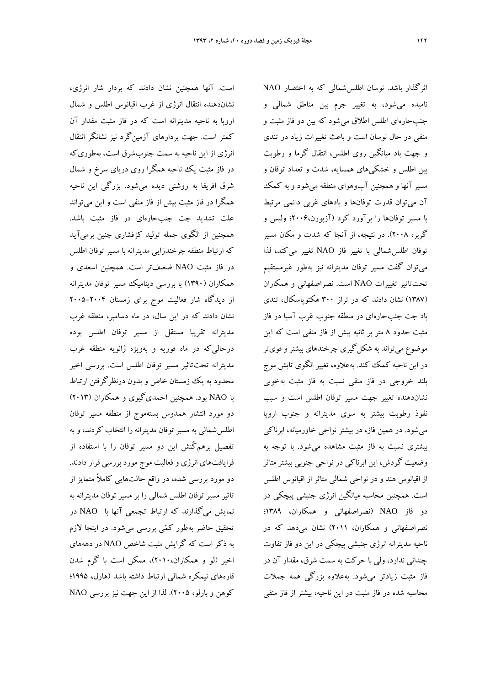است. آنها همچنين نشان دادند كه بردار شار انرژي، نشاندهنده انتقال انرژي از غرب اقيانوس اطلس و شمال اروپا به ناحيه مديترانه است كه در فاز مثبت مقدار آن كمتر است. جهت بردارهاي آزمينگرد نيز نشانگر انتقال انرژي از اين ناحيه به سمت جنوبشرق است، بهطوريكه در فاز مثبت يك ناحيه همگرا روي درياي سرخ و شمال شرق افريقا به روشني ديده ميشود. بزرگي اين ناحيه همگرا در فاز مثبت بيش از فاز منفي است و اين ميتواند علت تشديد جت جنبحارهاي در فاز مثبت باشد. همچنين از الگوي جمله توليد كژفشاري چنين برميآيد كه ارتباط منطقه چرخندزايي مديترانه با مسير توفان اطلس در فاز مثبت NAO ضعيفتر است. همچنين اسعدي و همكاران (1390) با بررسي ديناميك مسير توفان مديترانه از ديدگاه شار فعاليت موج براي زمستان ٢٠٠۴–٢٠٠۵ نشان دادند كه در اين سال، در ماه دسامبر، منطقه غرب مديترانه تقريبا مستقل از مسير توفان اطلس بوده درحاليكه در ماه فوريه و بهويژه ژانويه منطقه غرب مديترانه تحتتاثير مسير توفان اطلس است. بررسي اخير محدود به يك زمستان خاص و بدون درنظرگرفتن ارتباط با NAO بود. همچنين احمديگيوي و همكاران (2013) دو مورد انتشار همدوس بستهموج از منطقه مسير توفان اطلسشمالي به مسير توفان مديترانه را انتخاب كردند، و به تفصيل برهمكُنش اين دو مسير توفان را با استفاده از فرايافتهاي انرژي و فعاليت موج مورد بررسي قرار دادند. دو مورد بررسي شده، در واقع حالتهايي كاملاً متمايز از تاثير مسير توفان اطلس شمالي را بر مسير توفان مديترانه به نمايش ميگذارند كه ارتباط تجمعي آنها با NAO در تحقيق حاضر بهطور كمي بررسي ميشود. در اينجا لازم به ذكر است كه گرايش مثبت شاخص NAO در دهههاي اخير (لو و همكاران2010،)، ممكن است با گرم شدن قارههاي نيمكره شمالي ارتباط داشته باشد (هارل، 1995؛ كوهن و بارلو، 2005). لذا از اين جهت نيز بررسي NAO

اثرگذار باشد. نوسان اطلسشمالي كه به اختصار NAO ناميده ميشود، به تغيير جرم بين مناطق شمالي و جنبحارهاي اطلس اطلاق ميشود كه بين دو فاز مثبت و منفي در حال نوسان است و باعث تغييرات زياد در تندي و جهت باد ميانگين روي اطلس، انتقال گرما و رطوبت بين اطلس و خشكيهاي همسايه، شدت و تعداد توفان و مسير آنها و همچنين آبوهواي منطقه ميشود و به كمك آن ميتوان قدرت توفانها و بادهاي غربي دائمي مرتبط با مسير توفانها را برآورد كرد (آزبورن2006،؛ وليس و گربر، 2008). در نتيجه، از آنجا كه شدت و مكان مسير توفان اطلسشمالي با تغيير فاز NAO تغيير ميكند، لذا ميتوان گفت مسير توفان مديترانه نيز بهطور غيرمستقيم تحتتاثير تغييرات NAO است. نصراصفهاني و همكاران (1387) نشان دادند كه در تراز 300 هكتوپاسكال، تندي باد جت جنبحارهاي در منطقه جنوب غرب آسيا در فاز مثبت حدود 8 متر بر ثانيه بيش از فاز منفي است كه اين موضوع ميتواند به شكلگيري چرخندهاي بيشتروقويتر در اين ناحيه كمك كند. بهعلاوه، تغيير الگوي تابش موج بلند خروجي در فاز منفي نسبت به فاز مثبت بهخوبي نشاندهنده تغيير جهت مسير توفان اطلس است و سبب نفوذ رطوبت بيشتر به سوي مديترانه و جنوب اروپا ميشود. در همين فاز، در بيشتر نواحي خاورميانه، ابرناكي بيشتري نسبت به فاز مثبت مشاهده ميشود. با توجه به وضعيت گردش، اين ابرناكي در نواحي جنوبي بيشتر متاثر از اقيانوس هند و در نواحي شمالي متاثر از اقيانوس اطلس است. همچنين محاسبه ميانگين انرژي جنبشي پيچكي در دو فاز NAO) نصراصفهاني و همكاران، 1389؛ نصراصفهاني و همكاران، 2011) نشان ميدهد كه در ناحيه مديترانه انرژي جنبشي پيچكي در اين دو فاز تفاوت چنداني ندارد، ولي با حركت به سمت شرق، مقدار آن در فاز مثبت زيادتر ميشود. بهعلاوه بزرگي همه جملات محاسبه شده در فاز مثبت در اين ناحيه، بيشتر از فاز منفي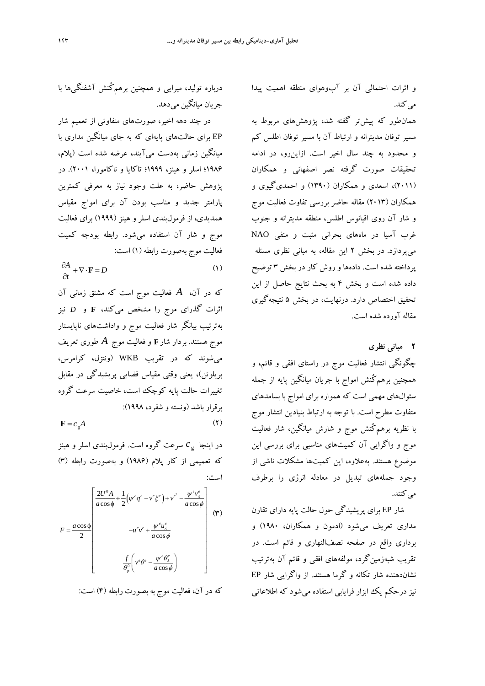و اثرات احتمالي آن بر آبوهواي منطقه اهميت پيدا مي كند.

همانطور كه پيشتر گفته شد، پژوهشهاي مربوط به مسير توفان مديترانه و ارتباط آن با مسير توفان اطلس كم و محدود به چند سال اخير است. ازاينرو، در ادامه تحقيقات صورت گرفته نصر اصفهاني و همكاران (2011)، اسعدي و همكاران (1390) و احمديگيوي و همكاران (2013) مقاله حاضر بررسي تفاوت فعاليت موج و شار آن روي اقيانوس اطلس، منطقه مديترانه و جنوب غرب آسيا در ماههاي بحراني مثبت و منفي NAO ميپردازد. در بخش 2 اين مقاله، به مباني نظري مسئله پرداخته شده است. دادهها و روش كار در بخش 3 توضيح داده شده است و بخش 4 به بحث نتايج حاصل از اين تحقيق اختصاص دارد. درنهايت، در بخش 5 نتيجهگيري مقاله آورده شده است.

**2 مباني نظري** 

چگونگي انتشار فعاليت موج در راستاي افقي و قائم، و همچنين برهمكُنش امواج با جريان ميانگين پايه از جمله سئوالهاي مهمي است كه همواره براي امواج با بسامدهاي متفاوت مطرح است. با توجه به ارتباط بنيادين انتشار موج با نظريه برهمكُنش موج و شارش ميانگين، شار فعاليت موج و واگرايي آن كميتهاي مناسبي براي بررسي اين موضوع هستند. بهعلاوه، اين كميتها مشكلات ناشي از وجود جملههاي تبديل در معادله انرژي را برطرف مي كنند.

شار EP براي پريشيدگي حول حالت پايه داراي تقارن مداري تعريف ميشود (ادمون و همكاران، 1980) و برداري واقع در صفحه نصفالنهاري و قائم است. در تقريب شبهزمينگرد، مولفههاي افقي و قائم آن بهترتيب نشاندهنده شار تكانه و گرما هستند. از واگرايي شار EP نيز درحكم يك ابزار فرايابي استفاده ميشود كه اطلاعاتي

درباره توليد، ميرايي و همچنين برهمكُنش آشفتگيها با جريان ميانگين مي دهد.

در چند دهه اخير، صورتهاي متفاوتي از تعميم شار EP براي حالتهاي پايهاي كه به جاي ميانگين مداري با ميانگين زماني بهدست ميآيند، عرضه شده است (پلام، 1986؛ اسلر و هينز، 1999؛ تاكايا و ناكامورا، 2001). در پژوهش حاضر، به علت وجود نياز به معرفي كمترين پارامتر جديد و مناسب بودن آن براي امواج مقياس همديدي، از فرمولبندي اسلر و هينز (1999) براي فعاليت موج و شار آن استفاده ميشود. رابطه بودجه كميت فعاليت موج بهصورت رابطه (1) است:

 $\frac{\partial A}{\partial t} + \nabla \cdot \mathbf{F} = D$  (1)

كه در آن، *A* فعاليت موج است كه مشتق زماني آن اثرات گذراي موج را مشخص ميكند، **F** و *D* نيز بهترتيب بيانگر شار فعاليت موج و واداشتهاي ناپايستار موج هستند. بردار شار**<sup>F</sup>** و فعاليت موج *A* طوري تعريف ميشوند كه در تقريب WKB) ونتزل، كرامرس، بريلوئن)، يعني وقتي مقياس فضايي پريشيدگي در مقابل تغييرات حالت پايه كوچك است، خاصيت سرعت گروه برقرار باشد (ونسته و شفرد، 1998):

 $\mathbf{F} = c_s A$  (**7**)

 $c_{\rm g}^{\phantom{\dag}}$ در اينجا  $c_{\rm g}^{\phantom{\dag}}$  سرعت گروه است. فرمول $\mu$ دی اسلر و هينز كه تعميمي از كار پلام (1986) و بهصورت رابطه (3) است:

$$
F = \frac{a \cos \phi}{2} \begin{bmatrix} \frac{2U^0 A}{a \cos \phi} + \frac{1}{2} (\psi^e q^e - v^e \xi^e) + v^{e^2} - \frac{\psi^e v_z^e}{a \cos \phi} \\ -u^e v^e + \frac{\psi^e u_z^e}{a \cos \phi} \end{bmatrix}
$$
 (†)  

$$
\frac{f}{\theta_p^0} \left( v^e \theta^e - \frac{\psi^e \theta_z^e}{a \cos \phi} \right)
$$

كه در آن، فعاليت موج به بصورت رابطه (4) است: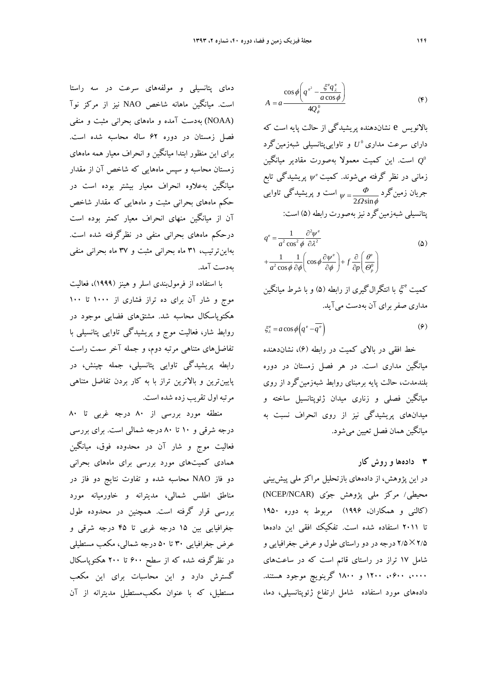دماي پتانسيلي و مولفههاي سرعت در سه راستا است. ميانگين ماهانه شاخص NAO نيز از مركز نوآ (NOAA (بهدست آمده و ماههاي بحراني مثبت و منفي فصل زمستان در دوره 62 ساله محاسبه شده است. براي اين منظور ابتدا ميانگين و انحراف معيار همه ماههاي زمستان محاسبه و سپس ماههايي كه شاخص آن از مقدار ميانگين بهعلاوه انحراف معيار بيشتر بوده است در حكم ماههاي بحراني مثبت و ماههايي كه مقدار شاخص آن از ميانگين منهاي انحراف معيار كمتر بوده است درحكم ماههاي بحراني منفي در نظرگرفته شده است. بهاينترتيب، 31 ماه بحراني مثبت و 37 ماه بحراني منفي بهدست آمد.

با استفاده از فرمولبندي اسلر و هينز (1999)، فعاليت موج و شار آن براي ده تراز فشاري از 1000 تا 100 هكتوپاسكال محاسبه شد. مشتقهاي فضايي موجود در روابط شار، فعاليت موج و پريشيدگي تاوايي پتانسيلي با تفاضلهاي متناهي مرتبه دوم، و جمله آخر سمت راست رابطه پريشيدگي تاوايي پتانسيلي، جمله چينش، در پايينترين و بالاترين تراز با به كار بردن تفاضل متناهي مرتبه اول تقريب زده شده است.

منطقه مورد بررسي از 80 درجه غربي تا 80 درجه شرقي و 10 تا 80 درجه شمالي است. براي بررسي فعاليت موج و شار آن در محدوده فوق، ميانگين همادي كميتهاي مورد بررسي براي ماههاي بحراني دو فاز NAO محاسبه شده و تفاوت نتايج دو فاز در مناطق اطلس شمالي، مديترانه و خاورميانه مورد بررسي قرار گرفته است. همچنين در محدوده طول جغرافيايي بين 15 درجه غربي تا 45 درجه شرقي و عرض جغرافيايي 30 تا 50 درجه شمالي، مكعب مستطيلي در نظرگرفته شده كه از سطح 600 تا 200 هكتوپاسكال گسترش دارد و اين محاسبات براي اين مكعب مستطيل، كه با عنوان مكعبمستطيل مديترانه از آن

$$
A = a \frac{\cos \phi \left( q^{e^2} - \frac{\zeta^e q^e_{\lambda}}{a \cos \phi} \right)}{4Q_{\phi}^0}
$$
 (F)

بالانويس e نشاندهنده پريشيدگي از حالت پايه است كه دارای سرعت مداری °U و تاواییپتانسیلی شبهزمینگرد است. اين كميت معمولا بهصورت مقادير ميانگين  $Q^0$ زماني در نظر گرفته ميشوند. كميت  $\psi^\circ$  پريشيدگي تابع  $\frac{\varphi}{2\varOmega\sin\phi}$ جريان زمينگرد است و پریشیدگی تاوایی  $\psi = \frac{\varPhi}{2\varOmega\text{sin}\phi}$ پتانسيلي شبهزمينگرد نيزبهصورت رابطه (5) است:

$$
q^{e} = \frac{1}{a^{2} \cos^{2} \phi} \frac{\partial^{2} \psi^{e}}{\partial \lambda^{2}}
$$
  
+ 
$$
\frac{1}{a^{2} \cos \phi} \frac{1}{\partial \phi} \left( \cos \phi \frac{\partial \psi^{e}}{\partial \phi} \right) + f \frac{\partial}{\partial p} \left( \frac{\theta^{e}}{\Theta_{p}^{0}} \right)
$$
(2)

کميت <sup>6</sup>ئح با انتگرالگيري از رابطه (۵) و با شرط ميانگين مداري صفربراي آن بهدست ميآيد.

$$
\xi_{\lambda}^{e} = a \cos \phi \left( q^{e} - \overline{q^{e}} \right) \tag{9}
$$

خط افقي در بالاي كميت در رابطه (6)، نشاندهنده ميانگين مداري است. در هر فصل زمستان در دوره بلندمدت، حالت پايه برمبناي روابط شبهزمينگرد از روي ميانگين فصلي و زناري ميدان ژئوپتانسيل ساخته و ميدانهاي پريشيدگي نيز از روي انحراف نسبت به ميانگين همان فصل تعيين ميشود.

# **3 دادهها و روش كار**

در اين پژوهش، از دادههاي بازتحليل مراكز ملي پيشبيني محيطي/ مركز ملي پژوهش جوي (NCAR/NCEP( (كالني و همكاران، 1996) مربوط به دوره 1950 تا 2011 استفاده شده است. تفكيك افقي اين دادهها 2/52/5 درجه در دو راستاي طول و عرض جغرافيايي و شامل 17 تراز در راستاي قائم است كه در ساعتهاي ،0000 ،0600 1200 و 1800 گرينويچ موجود هستند. دادههاي مورد استفاده شامل ارتفاع ژئوپتانسيلي، دما،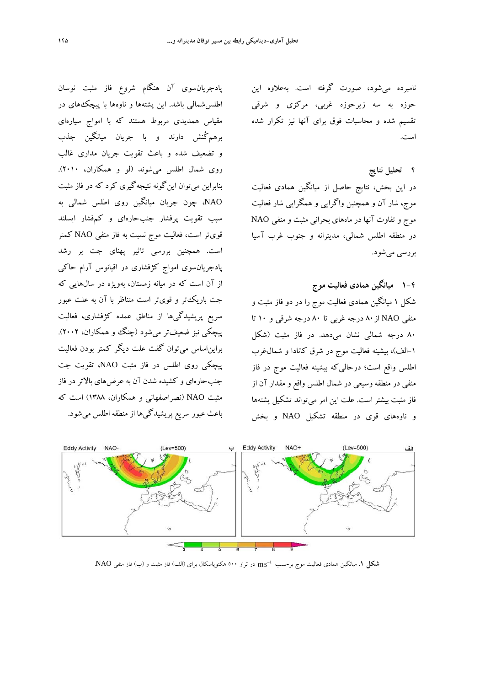نامبرده ميشود، صورت گرفته است. بهعلاوه اين حوزه به سه زيرحوزه غربي، مركزي و شرقي تقسيم شده و محاسبات فوق براي آنها نيز تكرار شده است.

# **4 تحليل نتايج**

در اين بخش، نتايج حاصل از ميانگين همادي فعاليت موج، شار آن و همچنين واگرايي و همگرايي شار فعاليت موج و تفاوت آنها در ماههاي بحراني مثبت و منفي NAO در منطقه اطلس شمالي، مديترانه و جنوب غرب آسيا بررسي ميشود.

**-4 1 ميانگين همادي فعاليت موج** شكل 1 ميانگين همادي فعاليت موج را در دو فاز مثبت و منفي NAO از ۸۰ درجه غربي تا ۸۰ درجه شرقي و ۱۰ تا 80 درجه شمالي نشان ميدهد. در فاز مثبت (شكل -1 الف)، بيشينه فعاليت موج در شرق كانادا و شمالغرب اطلس واقع است؛ درحاليكه بيشينه فعاليت موج در فاز منفي در منطقه وسيعي در شمال اطلس واقع و مقدار آن از فاز مثبت بيشتر است. علت اين امر ميتواند تشكيل پشتهها و ناوههاي قوي در منطقه تشكيل NAO و بخش

**Eddy Activity Eddy Activity** 

در تراز 500 هكتوپاسكال براي (الف) فاز مثبت و (ب) فاز منفي NAO. ms <sup>1</sup> **شكل .1** ميانگين همادي فعاليت موج برحسب

پادجريانسوي آن هنگام شروع فاز مثبت نوسان اطلسشمالي باشد. اين پشتهها و ناوهها با پيچكهاي در مقياس همديدي مربوط هستند كه با امواج سيارهاي برهمكُنش دارند و با جريان ميانگين جذب و تضعيف شده و باعث تقويت جريان مداري غالب روي شمال اطلس ميشوند (لو و همكاران، 2010). بنابراين ميتوان اينگونه نتيجهگيري كرد كه در فاز مثبت NAO، چون جريان ميانگين روي اطلس شمالي به سبب تقويت پرفشار جنبحارهاي و كمفشار ايسلند قويتر است، فعاليت موج نسبت به فاز منفي NAO كمتر است. همچنين بررسي تاثير پهناي جت بر رشد پادجريانسوي امواج كژفشاري در اقيانوس آرام حاكي از آن است كه در ميانه زمستان، بهويژه در سالهايي كه جت باريكتر و قويتر است متناظر با آن به علت عبور سريع پريشيدگيها از مناطق عمده كژفشاري، فعاليت پيچكي نيز ضعيفتر ميشود (چنگ و همكاران، 2002). برايناساس ميتوان گفت علت ديگر كمتر بودن فعاليت پيچكي روي اطلس در فاز مثبت NAO، تقويت جت جنبحارهاي و كشيده شدن آن به عرضهاي بالاتر در فاز مثبت NAO) نصراصفهاني و همكاران، 1388) است كه

باعث عبور سريع پريشيدگيها از منطقه اطلس ميشود.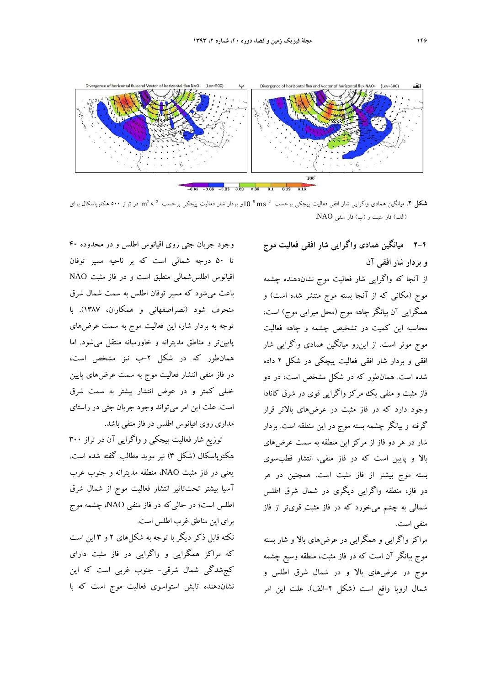

در تراز 500 هكتوپاسكال براي s m 2 2 و بردار شار فعاليت پيچكي برحسب ms 10 2 5 **شكل .2** ميانگين همادي واگرايي شار افقي فعاليت پيچكي برحسب (الف) فاز مثبت <sup>و</sup> (ب) فاز منفي NAO.

**-4 2 ميانگين همادي واگرايي شار افقي فعاليت موج و بردار شار افقي آن** از آنجا كه واگرايي شار فعاليت موج نشاندهنده چشمه موج (مكاني كه از آنجا بسته موج منتشر شده است) و همگرايي آن بيانگر چاهه موج (محل ميرايي موج) است، محاسبه اين كميت در تشخيص چشمه و چاهه فعاليت موج موثر است. از اينرو ميانگين همادي واگرايي شار افقي و بردار شار افقي فعاليت پيچكي در شكل 2 داده شده است. همانطور كه در شكل مشخص است، در دو فاز مثبت و منفي يك مركز واگرايي قوي در شرق كانادا وجود دارد كه در فاز مثبت در عرضهاي بالاتر قرار گرفته و بيانگر چشمه بسته موج در اين منطقه است. بردار شار در هر دو فاز از مركز اين منطقه به سمت عرضهاي بالا و پايين است كه در فاز منفي، انتشار قطبسوي بسته موج بيشتر از فاز مثبت است. همچنين در هر دو فاز، منطقه واگرايي ديگري در شمال شرق اطلس شمالي به چشم ميخورد كه در فاز مثبت قويتر از فاز منفي است.

مراكز واگرايي و همگرايي در عرضهاي بالا و شار بسته موج بيانگر آن است كه در فاز مثبت، منطقه وسيع چشمه موج در عرضهاي بالا و در شمال شرق اطلس و شمال اروپا واقع است (شكل -2الف). علت اين امر

وجود جريان جتي روي اقيانوس اطلس و در محدوده 40 تا 50 درجه شمالي است كه بر ناحيه مسير توفان اقيانوس اطلسشمالي منطبق است و در فاز مثبت NAO باعث ميشود كه مسير توفان اطلس به سمت شمال شرق منحرف شود (نصراصفهاني و همكاران، 1387). با توجه به بردار شار، اين فعاليت موج به سمت عرضهاي پايينتر و مناطق مديترانه و خاورميانه منتقل ميشود. اما همانطور كه در شكل -2ب نيز مشخص است، در فاز منفي انتشار فعاليت موج به سمت عرضهاي پايين خيلي كمتر و در عوض انتشار بيشتر به سمت شرق است. علت اين امر ميتواند وجود جريان جتي در راستاي مداري روي اقيانوس اطلس در فاز منفي باشد.

توزيع شار فعاليت پيچكي و واگرايي آن در تراز 300 هكتوپاسكال (شكل 3) نير مويد مطالب گفته شده است. يعني در فاز مثبت NAO، منطقه مديترانه و جنوب غرب آسيا بيشتر تحتتاثير انتشار فعاليت موج از شمال شرق اطلس است؛ در حاليكه در فاز منفي NAO، چشمه موج براي اين مناطق غرب اطلس است.

نكته قابل ذكر ديگر با توجه به شكلهاي 2 و 3 اين است كه مراكز همگرايي و واگرايي در فاز مثبت داراي كجشدگي شمال شرقي- جنوب غربي است كه اين نشاندهنده تابش استواسوي فعاليت موج است كه با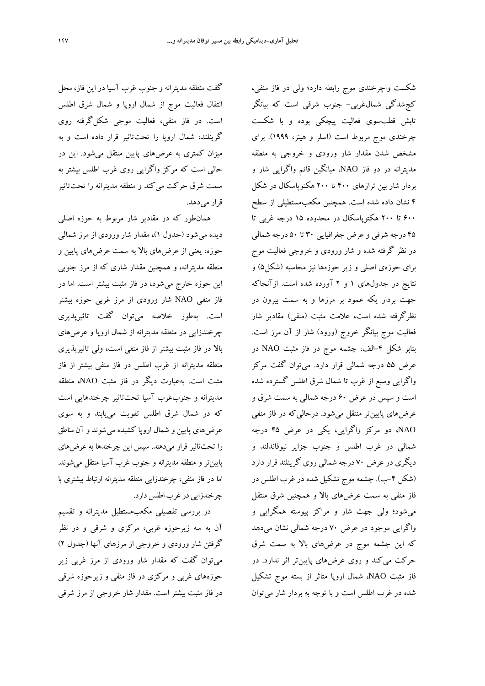گفت منطقه مديترانه و جنوب غرب آسيا در اين فاز، محل انتقال فعاليت موج از شمال اروپا و شمال شرق اطلس است. در فاز منفي، فعاليت موجي شكلگرفته روي گرينلند، شمال اروپا را تحتتاثير قرار داده است و به ميزان كمتري به عرضهاي پايين منتقل ميشود. اين در حالي است كه مركز واگرايي روي غرب اطلس بيشتر به سمت شرق حركت ميكند و منطقه مديترانه را تحتتاثير قرار مي دهد.

همانطور كه در مقادير شار مربوط به حوزه اصلي ديده ميشود (جدول 1)، مقدار شار ورودي از مرز شمالي حوزه، يعني از عرضهاي بالا به سمت عرضهاي پايين و منطقه مديترانه، و همچنين مقدار شاري كه از مرز جنوبي اين حوزه خارج ميشود، در فاز مثبت بيشتر است. اما در فاز منفي NAO شار ورودي از مرز غربي حوزه بيشتر است. بهطور خلاصه ميتوان گفت تاثيرپذيري چرخندزايي در منطقه مديترانه از شمال اروپا و عرضهاي بالا در فاز مثبت بيشتر از فاز منفي است، ولي تاثيرپذيري منطقه مديترانه از غرب اطلس در فاز منفي بيشتر از فاز مثبت است. بهعبارت ديگر در فاز مثبت NAO، منطقه مديترانه و جنوبغرب آسيا تحتتاثير چرخندهايي است كه در شمال شرق اطلس تقويت مييابند و به سوي عرضهاي پايين و شمال اروپا كشيده ميشوند و آن مناطق را تحتتاثير قرار ميدهند. سپس اين چرخندها به عرضهاي پايينتر و منطقه مديترانه و جنوب غرب آسيا منتقل ميشوند. اما در فاز منفي، چرخندزايي منطقه مديترانه ارتباط بيشتري با چر خندزايي در غرب اطلس دارد.

در بررسي تفصيلي مكعبمستطيل مديترانه و تقسيم آن به سه زيرحوزه غربي، مركزي و شرقي و در نظر گرفتن شار ورودي و خروجي از مرزهاي آنها (جدول 2) ميتوان گفت كه مقدار شار ورودي از مرز غربي زير حوزههاي غربي و مركزي در فاز منفي و زيرحوزه شرقي در فاز مثبت بيشتر است. مقدار شار خروجي از مرز شرقي

شكست واچرخندي موج رابطه دارد؛ ولي در فاز منفي، كجشدگي شمالغربي- جنوب شرقي است كه بيانگر تابش قطبسوي فعاليت پيچكي بوده و با شكست چرخندي موج مربوط است (اسلر و هينز، 1999). براي مشخص شدن مقدار شار ورودي و خروجي به منطقه مديترانه در دو فاز NAO، ميانگين قائم واگرايي شار و بردار شار بين ترازهاي 400 تا 200 هكتوپاسكال در شكل 4 نشان داده شده است. همچنين مكعبمستطيلي از سطح 600 تا 200 هكتوپاسكال در محدوده 15 درجه غربي تا 45 درجه شرقي و عرض جغرافيايي 30 تا 50 درجه شمالي در نظر گرفته شده و شار ورودي و خروجي فعاليت موج براي حوزهي اصلي و زير حوزهها نيز محاسبه (شكل5) و نتايج در جدولهاي 1 و 2 آورده شده است. ازآنجاكه جهت بردار يكه عمود بر مرزها و به سمت بيرون در نظرگرفته شده است، علامت مثبت (منفي) مقادير شار فعاليت موج بيانگر خروج (ورود) شار از آن مرز است. بنابر شكل -4الف، چشمه موج در فاز مثبت NAO در عرض 55 درجه شمالي قرار دارد. ميتوان گفت مركز واگرايي وسيع از غرب تا شمال شرق اطلس گسترده شده است و سپس در عرض 60 درجه شمالي به سمت شرق و عرضهاي پايينتر منتقل ميشود. درحاليكه در فاز منفي NAO، دو مركز واگرايي، يكي در عرض 45 درجه شمالي در غرب اطلس و جنوب جزاير نيوفاندلند و ديگري در عرض 70 درجه شمالي روي گرينلند قرار دارد (شكل ۴–ب). چشمه موج تشكيل شده در غرب اطلس در فاز منفي به سمت عرضهاي بالا و همچنين شرق منتقل ميشود؛ ولي جهت شار و مراكز پيوسته همگرايي و واگرايي موجود در عرض 70 درجه شمالي نشان ميدهد كه اين چشمه موج در عرضهاي بالا به سمت شرق حركت ميكند و روي عرضهاي پايينتر اثر ندارد. در فاز مثبت NAO، شمال اروپا متاثر از بسته موج تشكيل شده در غرب اطلس است و با توجه به بردار شار ميتوان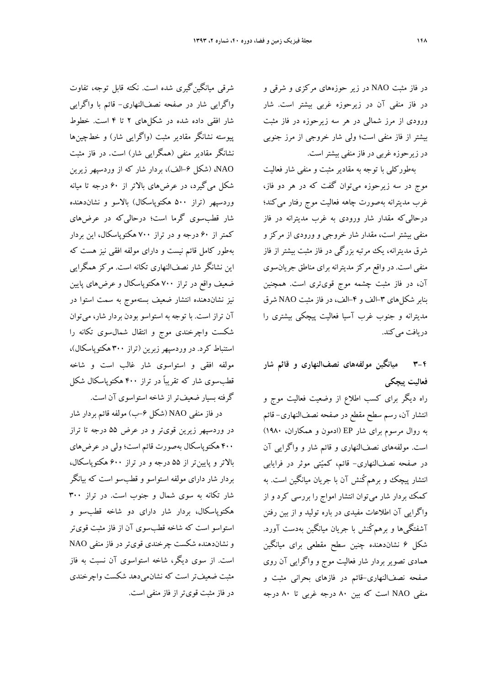شرقي ميانگينگيري شده است. نكته قابل توجه، تفاوت واگرايي شار در صفحه نصفالنهاري- قائم با واگرايي شار افقي داده شده در شكلهاي 2 تا 4 است. خطوط پيوسته نشانگر مقادير مثبت (واگرايي شار) و خطچينها نشانگر مقادير منفي (همگرايي شار) است. در فاز مثبت NAO،) شكل -6الف)، بردار شار كه از وردسپهر زيرين شكل ميگيرد، در عرضهاي بالاتر از 60 درجه تا ميانه وردسپهر (تراز 500 هكتوپاسكال) بالاسو و نشاندهنده شار قطبسوي گرما است؛ درحاليكه در عرضهاي كمتر از 60 درجه و در تراز 700 هكتوپاسكال، اين بردار بهطور كامل قائم نيست و داراي مولفه افقي نيز هست كه اين نشانگر شار نصفالنهاري تكانه است. مركز همگرايي ضعيف واقع در تراز 700 هكتوپاسكال و عرضهاي پايين نيز نشاندهنده انتشار ضعيف بستهموج به سمت استوا در آن تراز است. با توجه به استواسو بودن بردار شار، ميتوان شكست واچرخندي موج و انتقال شمالسوي تكانه را استنباط كرد. در وردسپهرزبرين (تراز 300 هكتوپاسكال)، مولفه افقي و استواسوي شار غالب است و شاخه قطبسوي شار كه تقريباً در تراز 400 هكتوپاسكال شكل گرفته بسيار ضعيفتراز شاخه استواسوي آن است.

در فاز منفی NAO (شكل ۶–ب) مولفه قائم بردار شار در وردسپهر زيرين قويتر و در عرض 55 درجه تا تراز 400 هكتوپاسكال بهصورت قائم است؛ ولي در عرضهاي بالاتر و پايينتر از 55 درجه و در تراز 600 هكتوپاسكال، بردار شار داراي مولفه استواسو و قطبسو است كه بيانگر شار تكانه به سوي شمال و جنوب است. در تراز 300 هكتوپاسكال، بردار شار داراي دو شاخه قطبسو و استواسو است كه شاخه قطبسوي آن از فاز مثبت قويتر و نشاندهنده شكست چرخندي قويتر در فاز منفي NAO است. از سوي ديگر، شاخه استواسوي آن نسبت به فاز مثبت ضعيفتر است كه نشانميدهد شكست واچرخندي در فاز مثبت قويتراز فاز منفي است. در فاز مثبت NAO در زير حوزههاي مركزي و شرقي و در فاز منفي آن در زيرحوزه غربي بيشتر است. شار ورودي از مرز شمالي در هر سه زيرحوزه در فاز مثبت بيشتر از فاز منفي است؛ ولي شار خروجي از مرز جنوبي در زيرحوزه غربي در فاز منفي بيشتراست.

بهطوركلي با توجه به مقادير مثبت و منفي شار فعاليت موج در سه زيرحوزه ميتوان گفت كه در هر دو فاز، غرب مديترانه بهصورت چاهه فعاليت موج رفتار ميكند؛ درحاليكه مقدار شار ورودي به غرب مديترانه در فاز منفي بيشتر است، مقدار شار خروجي و ورودي از مركز و شرق مديترانه، يك مرتبه بزرگي در فاز مثبت بيشتر از فاز منفي است. در واقع مركز مديترانه براي مناطق جريانسوي آن، در فاز مثبت چشمه موج قويتري است. همچنين بنابر شكلهاي ٣-الف و ۴-الف، در فاز مثبت NAO شرق مديترانه و جنوب غرب آسيا فعاليت پيچكي بيشتري را دريافت مي كند.

# **-4 3 ميانگين مولفههاي نصفالنهاري و قائم شار فعاليت پيچكي**

راه ديگر براي كسب اطلاع از وضعيت فعاليت موج و انتشار آن، رسم سطح مقطع در صفحه نصفالنهاري- قائم به روال مرسوم براي شار EP) ادمون و همكاران، 1980) است. مولفههاي نصفالنهاري و قائم شار و واگرايي آن در صفحه نصفالنهاري- قائم، كميتي موثر در فرايابي انتشار پيچك و برهمكُنش آن با جريان ميانگين است. به كمك بردار شار ميتوان انتشار امواج را بررسي كرد و از واگرايي آن اطلاعات مفيدي در باره توليد و از بين رفتن آشفتگيها و برهمكُنش با جريان ميانگين بهدست آورد. شكل 6 نشاندهنده چنين سطح مقطعي براي ميانگين همادي تصوير بردار شار فعاليت موج و واگرايي آن روي صفحه نصفالنهاري-قائم در فازهاي بحراني مثبت و منفي NAO است كه بين 80 درجه غربي تا 80 درجه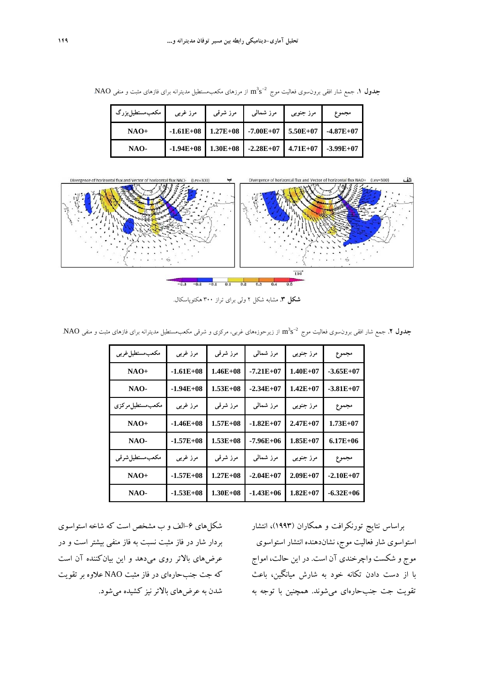از مرزهاي مستطيل مديترانه براي فازهاي مثبت و منفي NAO**.**  مكعب s m 2 3 **جدول .1** جمع شار افقي برونسوي فعاليت موج

| مکعبەستطیلېزرگ | مرز غربي | مرز شرقبی | مرز شمال <sub>ی</sub>                             | مرز جنوبي | مجموع |
|----------------|----------|-----------|---------------------------------------------------|-----------|-------|
| $NAO+$         |          |           | $-1.61E+08$ 1.27E+08 -7.00E+07 5.50E+07 -4.87E+07 |           |       |
| NAO-           |          |           | $-1.94E+08$ 1.30E+08 -2.28E+07 4.71E+07 -3.99E+07 |           |       |



**شكل .3** مشابه شكل 2 ولي براي تراز 300 هكتوپاسكال.

جلول ۲. جمع شار افقي برون $\rm\,e_2$  فعاليت موج $\rm\,n^3s^{-2}$  از زيرحوزههاي غربي، مركزي و شرقي مكعب $\rm\,e_2$ مستطيل مديترانه براي فازهاي مثبت و منفي NAO.

| مكعب مستطيل غربي  | مرز غربی    | مرز شرقبى    | مرز شمالبی    | مرز جنوبي    | مجموع        |
|-------------------|-------------|--------------|---------------|--------------|--------------|
| $NAO+$            | $-1.61E+08$ | $1.46E + 08$ | $-7.21E+07$   | $1.40E + 07$ | $-3.65E+07$  |
| NAO-              | $-1.94E+08$ | $1.53E+08$   | $-2.34E+07$   | $1.42E+07$   | $-3.81E+07$  |
| مكعب مستطيل مركزي | مرز غربی    | مرز شرقبى    | مرز شمالبی    | مرز جنوبي    | مجموع        |
| $NAO+$            | $-1.46E+08$ | $1.57E + 08$ | $-1.82E+07$   | $2.47E+07$   | $1.73E+07$   |
| NAO-              | $-1.57E+08$ | $1.53E+08$   | $-7.96E + 06$ | $1.85E+07$   | $6.17E + 06$ |
| مكعبەستطيل شرقى   | مرز غربی    | مرز شرقبي    | مرز شمالبی    | مرز جنوبي    | مجموع        |
| $NAO+$            | $-1.57E+08$ | $1.27E + 08$ | $-2.04E+07$   | $2.09E + 07$ | $-2.10E+07$  |
| NAO-              | $-1.53E+08$ | $1.30E + 08$ | $-1.43E+06$   | $1.82E+07$   | $-6.32E+06$  |

شكلهای ۶–الف و ب مشخص است كه شاخه استواسوی بردار شار در فاز مثبت نسبت به فاز منفي بيشتر است و در عرضهاي بالاتر روي ميدهد و اين بيانكننده آن است كه جت جنبحارهاي در فاز مثبت NAO علاوه بر تقويت شدن به عرضهاي بالاترنيز كشيده ميشود.

براساس نتايج تورنكرافت و همكاران (1993)، انتشار استواسوي شار فعاليت موج، نشاندهنده انتشار استواسوي موج و شكست واچرخندي آن است. در اين حالت، امواج با از دست دادن تكانه خود به شارش ميانگين، باعث تقويت جت جنبحارهاي ميشوند. همچنين با توجه به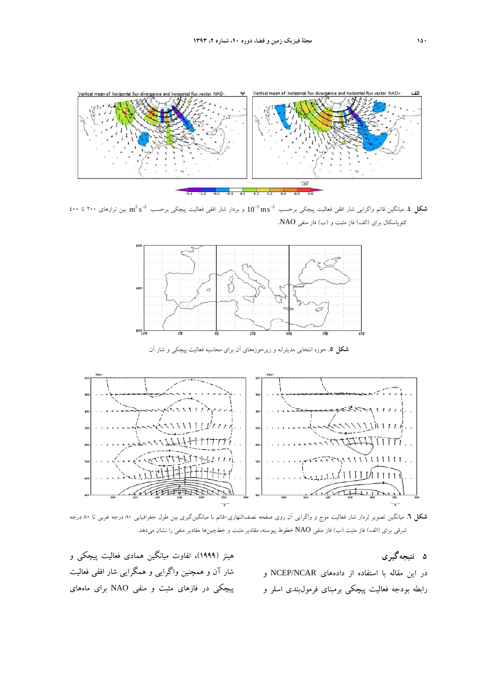

بين ترازهاي 200 تا 400 s m 2 2 و بردار شار افقي فعاليت پيچكي برحسب ms 10 2 5 **شكل .4** ميانگين قائم واگرايي شار افقي فعاليت پيچكي برحسب كتوپاسكال براي (الف) فاز مثبت و (ب) فاز منفي NAO.



**شكل .5** حوزه انتخابي مديترانه و زيرحوزههاي آن براي محاسبه فعاليت پيچكي و شار آن.



**شكل .6** ميانگين تصوير بردار شار فعاليت موج و واگرايي آن روي صفحه نصفالنهاري- قائم با ميانگينگيري بين طول جغرافيايي 80 درجه غربي تا 80 درجه شرقي براي (الف) فاز مثبت (ب) فاز منفي NAO خطوط پيوسته، مقادير مثبت و خطچينها مقادير منفي را نشان ميدهد.

**5 نتيجهگيري**  در اين مقاله با استفاده از دادههاي NCAR/NCEP و رابطه بودجه فعاليت پيچكي برمبناي فرمولبندي اسلر و

هينز (1999)، تفاوت ميانگين همادي فعاليت پيچكي و شار آن و همچنين واگرايي و همگرايي شار افقي فعاليت پيچكي در فازهاي مثبت و منفي NAO براي ماههاي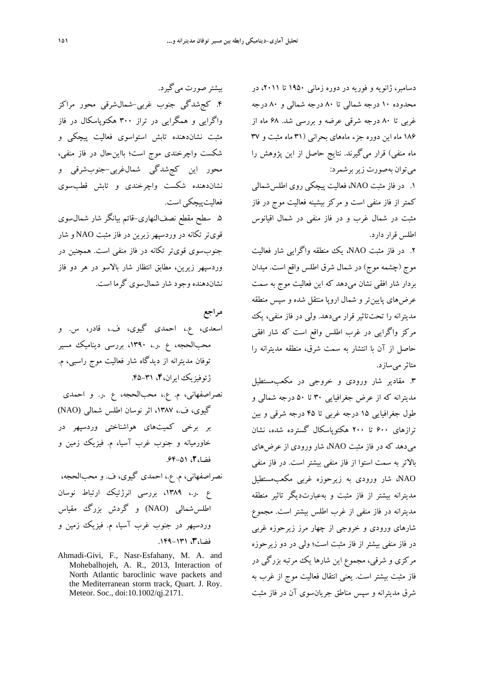دسامبر، ژانويه و فوريه در دوره زماني ۱۹۵۰ تا ۲۰۱۱، در محدوده 10 درجه شمالي تا 80 درجه شمالي و 80 درجه غربي تا 80 درجه شرقي عرضه و بررسي شد. 68 ماه از 186 ماه اين دوره جزء ماههاي بحراني (31 ماه مثبت و 37 ماه منفي) قرار ميگيرند. نتايج حاصل از اين پژوهش را ميتوان بهصورت زيربرشمرد:

.1 در فاز مثبت NAO، فعاليت پيچكي روي اطلسشمالي كمتر از فاز منفي است و مركز بيشينه فعاليت موج در فاز مثبت در شمال غرب و در فاز منفي در شمال اقيانوس اطلس قرار دارد.

.2 در فاز مثبت NAO، يك منطقه واگرايي شار فعاليت موج (چشمه موج) در شمال شرق اطلس واقع است. ميدان بردار شار افقي نشان ميدهد كه اين فعاليت موج به سمت عرضهاي پايينتر و شمال اروپا منتقل شده و سپس منطقه مديترانه را تحتتاثير قرار ميدهد. ولي در فاز منفي، يك مركز واگرايي در غرب اطلس واقع است كه شار افقي حاصل از آن با انتشار به سمت شرق، منطقه مديترانه را متاثرميسازد.

.3 مقادير شار ورودي و خروجي در مكعبمستطيل مديترانه كه از عرض جغرافيايي 30 تا 50 درجه شمالي و طول جغرافيايي 15 درجه غربي تا 45 درجه شرقي و بين ترازهاي 600 تا 200 هكتوپاسكال گسترده شده، نشان ميدهد كه در فاز مثبت NAO، شار ورودي از عرضهاي بالاتر به سمت استوا از فاز منفي بيشتر است. در فاز منفي NAO، شار ورودي به زيرحوزه غربي مكعبمستطيل مديترانه بيشتر از فاز مثبت و بهعبارتديگر تاثير منطقه مديترانه در فاز منفي از غرب اطلس بيشتر است. مجموع شارهاي ورودي و خروجي از چهار مرز زيرحوزه غربي در فاز منفي بيشتر از فاز مثبت است؛ ولي در دو زيرحوزه مركزي و شرقي، مجموع اين شارها يك مرتبه بزرگي در فاز مثبت بيشتر است. يعني انتقال فعاليت موج از غرب به شرق مديترانه و سپس مناطق جريانسوي آن در فاز مثبت

بيشتر صورت ميگيرد. .4 كجشدگي جنوب غربي-شمالشرقي محور مراكز واگرايي و همگرايي در تراز 300 هكتوپاسكال در فاز مثبت نشاندهنده تابش استواسوي فعاليت پيچكي و شكست واچرخندي موج است؛ بااينحال در فاز منفي، محور اين كجشدگي شمالغربي-جنوبشرقي و نشاندهنده شكست واچرخندي و تابش قطبسوي فعاليتپيچكي است.

.5 سطح مقطع نصفالنهاري-قائم بيانگر شار شمالسوي قويتر تكانه در وردسپهر زبرين در فاز مثبت NAO و شار جنوبسوي قويتر تكانه در فاز منفي است. همچنين در وردسپهر زيرين، مطابق انتظار شار بالاسو در هر دو فاز نشاندهندهوجود شار شمالسوي گرما است.

**مراجع** 

اسعدي، ع،. احمدي گيوي، ف،. قادر، س. و محبالحجه، ع .ر،. ،1390 بررسي ديناميك مسير توفان مديترانه از ديدگاه شار فعاليت موج راسبي، م. ژئوفيزيك ايران،**4**، .45-31 نصراصفهاني، م. ع،. محبالحجه، ع .ر. و احمدي گيوي، ف،. ،1387 اثر نوسان اطلس شمالي (NAO( بر برخي كميتهاي هواشناختي وردسپهر در خاورميانه و جنوب غرب آسيا، م. فيزيك زمين و فضا،**2**، .64-51 نصراصفهاني، م. ع،. احمدي گيوي، ف. و محبالحجه، ع .ر،. ،1389 بررسي انرژتيك ارتباط نوسان

اطلسشمالي (NAO) و گردش بزرگ مقياس وردسپهر در جنوب غرب آسيا، م. فيزيك زمين و فضا،**3**، .149-131

Ahmadi-Givi, F., Nasr-Esfahany, M. A. and Mohebalhojeh, A. R., 2013, Interaction of North Atlantic baroclinic wave packets and the Mediterranean storm track, Quart. J. Roy. Meteor. Soc., doi:10.1002/qj.2171.